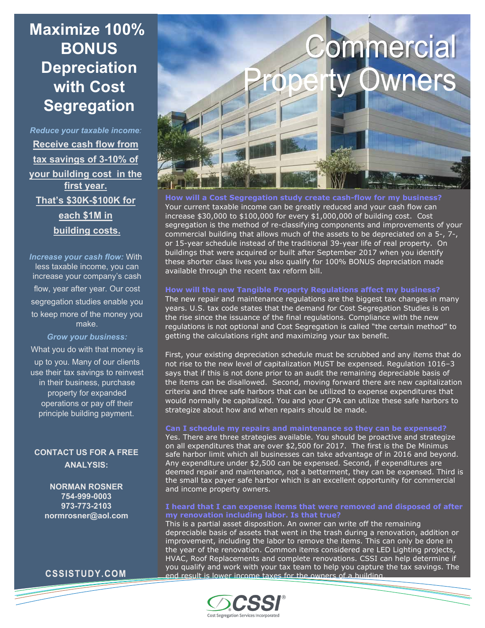**Maximize 100% BONUS Depreciation with Cost Segregation**

*Reduce your taxable income:* **Receive cash flow from tax savings of 3-10% of your building cost in the first year. That's \$30K-\$100K for each \$1M in building costs.**

*Increase your cash flow:* With less taxable income, you can increase your company's cash flow, year after year. Our cost segregation studies enable you to keep more of the money you make.

#### *Grow your business:*

What you do with that money is up to you. Many of our clients use their tax savings to reinvest in their business, purchase property for expanded operations or pay off their principle building payment.

#### **CONTACT US FOR A FREE ANALYSIS:**

**NORMAN ROSNER 754-999-0003 973-773-2103 normrosner@aol.com**

**CSSISTUDY.COM** 



**How will a Cost Segregation study create cash-flow for my business?** Your current taxable income can be greatly reduced and your cash flow can increase \$30,000 to \$100,000 for every \$1,000,000 of building cost. Cost segregation is the method of re-classifying components and improvements of your commercial building that allows much of the assets to be depreciated on a 5-, 7-, or 15-year schedule instead of the traditional 39-year life of real property. On buildings that were acquired or built after September 2017 when you identify these shorter class lives you also qualify for 100% BONUS depreciation made available through the recent tax reform bill.

#### **How will the new Tangible Property Regulations affect my business?**

The new repair and maintenance regulations are the biggest tax changes in many years. U.S. tax code states that the demand for Cost Segregation Studies is on the rise since the issuance of the final regulations. Compliance with the new regulations is not optional and Cost Segregation is called "the certain method" to getting the calculations right and maximizing your tax benefit.

First, your existing depreciation schedule must be scrubbed and any items that do not rise to the new level of capitalization MUST be expensed. Regulation 1016–3 says that if this is not done prior to an audit the remaining depreciable basis of the items can be disallowed. Second, moving forward there are new capitalization criteria and three safe harbors that can be utilized to expense expenditures that would normally be capitalized. You and your CPA can utilize these safe harbors to strategize about how and when repairs should be made.

#### **Can I schedule my repairs and maintenance so they can be expensed?**

Yes. There are three strategies available. You should be proactive and strategize on all expenditures that are over \$2,500 for 2017. The first is the De Minimus safe harbor limit which all businesses can take advantage of in 2016 and beyond. Any expenditure under \$2,500 can be expensed. Second, if expenditures are deemed repair and maintenance, not a betterment, they can be expensed. Third is the small tax payer safe harbor which is an excellent opportunity for commercial and income property owners.

This is a partial asset disposition. An owner can write off the remaining depreciable basis of assets that went in the trash during a renovation, addition or improvement, including the labor to remove the items. This can only be done in the year of the renovation. Common items considered are LED Lighting projects, HVAC, Roof Replacements and complete renovations. CSSI can help determine if you qualify and work with your tax team to help you capture the tax savings. The end result is lower income taxes for the owners of a building.